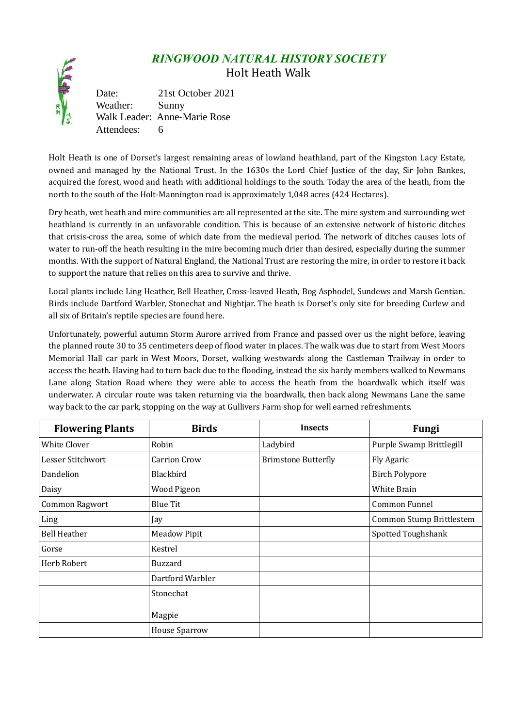## *RINGWOOD NATURAL HISTORY SOCIETY* Holt Heath Walk

Date: 21st October 2021 Weather: Sunny Walk Leader: Anne-Marie Rose Attendees: 6

Holt Heath is one of Dorset's largest remaining areas of lowland heathland, part of the Kingston Lacy Estate, owned and managed by the National Trust. In the 1630s the Lord Chief Justice of the day, Sir John Bankes, acquired the forest, wood and heath with additional holdings to the south. Today the area of the heath, from the north to the south of the Holt-Mannington road is approximately 1,048 acres (424 Hectares).

Dry heath, wet heath and mire communities are all represented at the site. The mire system and surrounding wet heathland is currently in an unfavorable condition. This is because of an extensive network of historic ditches that crisis-cross the area, some of which date from the medieval period. The network of ditches causes lots of water to run-off the heath resulting in the mire becoming much drier than desired, especially during the summer months. With the support of Natural England, the National Trust are restoring the mire, in order to restore it back to support the nature that relies on this area to survive and thrive.

Local plants include Ling Heather, Bell Heather, Cross-leaved Heath, Bog Asphodel, Sundews and Marsh Gentian. Birds include Dartford Warbler, Stonechat and Nightjar. The heath is Dorset's only site for breeding Curlew and all six of Britain's reptile species are found here.

Unfortunately, powerful autumn Storm Aurore arrived from France and passed over us the night before, leaving the planned route 30 to 35 centimeters deep of flood water in places. The walk was due to start from West Moors Memorial Hall car park in West Moors, Dorset, walking westwards along the Castleman Trailway in order to access the heath. Having had to turn back due to the flooding, instead the six hardy members walked to Newmans Lane along Station Road where they were able to access the heath from the boardwalk which itself was underwater. A circular route was taken returning via the boardwalk, then back along Newmans Lane the same way back to the car park, stopping on the way at Gullivers Farm shop for well earned refreshments.

| <b>Flowering Plants</b> | <b>Birds</b>         | <b>Insects</b>             | <b>Fungi</b>             |
|-------------------------|----------------------|----------------------------|--------------------------|
| White Clover            | Robin                | Ladybird                   | Purple Swamp Brittlegill |
| Lesser Stitchwort       | <b>Carrion Crow</b>  | <b>Brimstone Butterfly</b> | Fly Agaric               |
| Dandelion               | Blackbird            |                            | <b>Birch Polypore</b>    |
| Daisy                   | Wood Pigeon          |                            | White Brain              |
| Common Ragwort          | <b>Blue Tit</b>      |                            | Common Funnel            |
| Ling                    | Jay                  |                            | Common Stump Brittlestem |
| <b>Bell Heather</b>     | <b>Meadow Pipit</b>  |                            | Spotted Toughshank       |
| Gorse                   | Kestrel              |                            |                          |
| Herb Robert             | Buzzard              |                            |                          |
|                         | Dartford Warbler     |                            |                          |
|                         | Stonechat            |                            |                          |
|                         | Magpie               |                            |                          |
|                         | <b>House Sparrow</b> |                            |                          |